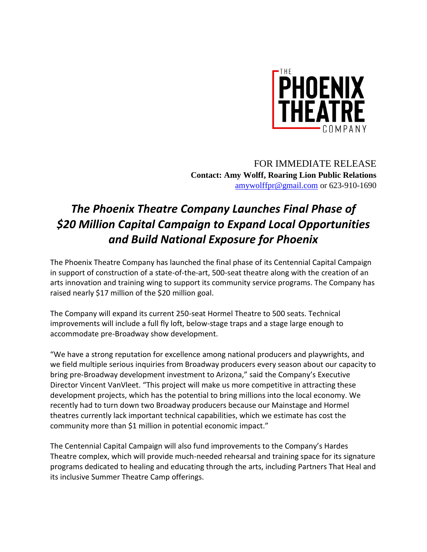

FOR IMMEDIATE RELEASE **Contact: Amy Wolff, Roaring Lion Public Relations** [amywolffpr@gmail.com](mailto:amywolffpr@gmail.com) or 623-910-1690

## *The Phoenix Theatre Company Launches Final Phase of \$20 Million Capital Campaign to Expand Local Opportunities and Build National Exposure for Phoenix*

The Phoenix Theatre Company has launched the final phase of its Centennial Capital Campaign in support of construction of a state-of-the-art, 500-seat theatre along with the creation of an arts innovation and training wing to support its community service programs. The Company has raised nearly \$17 million of the \$20 million goal.

The Company will expand its current 250-seat Hormel Theatre to 500 seats. Technical improvements will include a full fly loft, below-stage traps and a stage large enough to accommodate pre-Broadway show development.

"We have a strong reputation for excellence among national producers and playwrights, and we field multiple serious inquiries from Broadway producers every season about our capacity to bring pre-Broadway development investment to Arizona," said the Company's Executive Director Vincent VanVleet. "This project will make us more competitive in attracting these development projects, which has the potential to bring millions into the local economy. We recently had to turn down two Broadway producers because our Mainstage and Hormel theatres currently lack important technical capabilities, which we estimate has cost the community more than \$1 million in potential economic impact."

The Centennial Capital Campaign will also fund improvements to the Company's Hardes Theatre complex, which will provide much-needed rehearsal and training space for its signature programs dedicated to healing and educating through the arts, including Partners That Heal and its inclusive Summer Theatre Camp offerings.